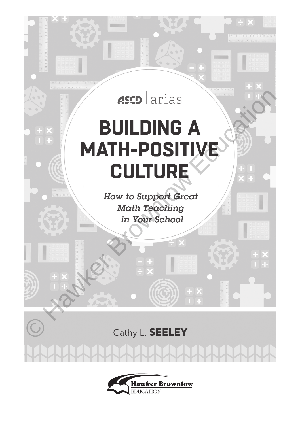

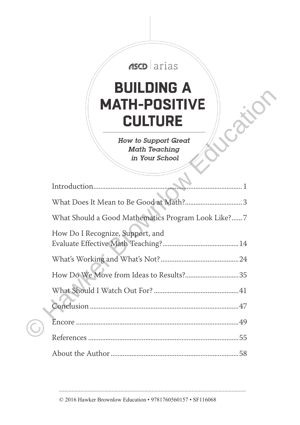| ASCD arias<br><b>BUILDING A</b><br><b>MATH-POSITIVE</b><br>CULTURE    |
|-----------------------------------------------------------------------|
| <b>How to Support Great</b><br><b>Math Teaching</b><br>in Your School |
| Introduction<br>. 1                                                   |
|                                                                       |
| What Should a Good Mathematics Program Look Like?7                    |
| How Do I Recognize, Support, and                                      |
|                                                                       |
|                                                                       |
|                                                                       |
|                                                                       |
|                                                                       |
|                                                                       |
|                                                                       |

© 2016 Hawker Brownlow Education • 9781760560157 • SF116068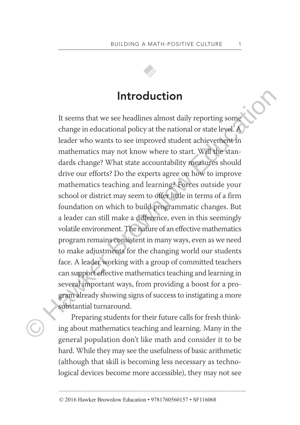

## **Introduction**

It seems that we see headlines almost daily reporting some change in educational policy at the national or state level. A leader who wants to see improved student achievement in mathematics may not know where to start. Will the standards change? What state accountability measures should drive our efforts? Do the experts agree on how to improve mathematics teaching and learning? Forces outside your school or district may seem to offer little in terms of a firm foundation on which to build programmatic changes. But a leader can still make a difference, even in this seemingly volatile environment. The nature of an effective mathematics program remains consistent in many ways, even as we need to make adjustments for the changing world our students face. A leader working with a group of committed teachers can support effective mathematics teaching and learning in several important ways, from providing a boost for a program already showing signs of success to instigating a more substantial turnaround. Introduction<br>
It seems that we see headlines almost daily reporting some<br>
change in educational policy at the national or state level.<br>
leader who wants to see improved student achievement in<br>
mathematics may not know wher

Preparing students for their future calls for fresh thinking about mathematics teaching and learning. Many in the general population don't like math and consider it to be hard. While they may see the usefulness of basic arithmetic (although that skill is becoming less necessary as technological devices become more accessible), they may not see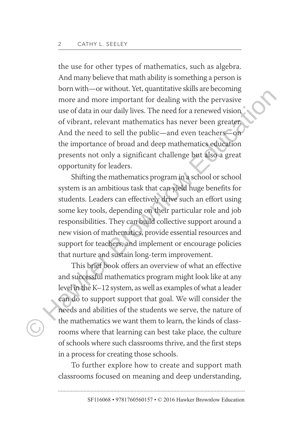the use for other types of mathematics, such as algebra. And many believe that math ability is something a person is born with—or without. Yet, quantitative skills are becoming more and more important for dealing with the pervasive use of data in our daily lives. The need for a renewed vision of vibrant, relevant mathematics has never been greater. And the need to sell the public—and even teachers—on the importance of broad and deep mathematics education presents not only a significant challenge but also a great opportunity for leaders.

Shifting the mathematics program in a school or school system is an ambitious task that can yield huge benefits for students. Leaders can effectively drive such an effort using some key tools, depending on their particular role and job responsibilities. They can build collective support around a new vision of mathematics, provide essential resources and support for teachers, and implement or encourage policies that nurture and sustain long-term improvement. From the contract and streamed value of the streamed value of the medication<br>and more and more important for dealing with the pervasive<br>use of data in our daily lives. The need for a renewed vision<br>of vibrant, relevant mat

This brief book offers an overview of what an effective and successful mathematics program might look like at any level in the K–12 system, as well as examples of what a leader can do to support support that goal. We will consider the needs and abilities of the students we serve, the nature of the mathematics we want them to learn, the kinds of classrooms where that learning can best take place, the culture of schools where such classrooms thrive, and the first steps in a process for creating those schools.

To further explore how to create and support math classrooms focused on meaning and deep understanding,